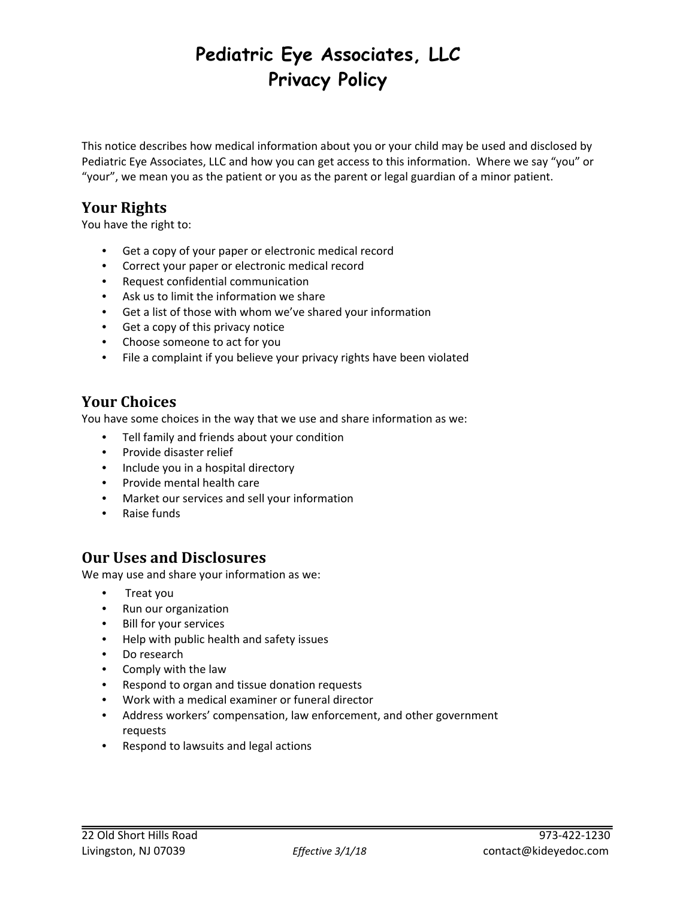This notice describes how medical information about you or your child may be used and disclosed by Pediatric Eye Associates, LLC and how you can get access to this information. Where we say "you" or "your", we mean you as the patient or you as the parent or legal guardian of a minor patient.

## **Your Rights**

You have the right to:

- Get a copy of your paper or electronic medical record
- Correct your paper or electronic medical record
- Request confidential communication
- Ask us to limit the information we share
- Get a list of those with whom we've shared your information
- Get a copy of this privacy notice
- Choose someone to act for you
- File a complaint if you believe your privacy rights have been violated

## **Your Choices**

You have some choices in the way that we use and share information as we:

- Tell family and friends about your condition
- Provide disaster relief
- Include you in a hospital directory
- Provide mental health care
- Market our services and sell your information
- Raise funds

## **Our Uses and Disclosures**

We may use and share your information as we:

- Treat you
- Run our organization
- Bill for your services
- Help with public health and safety issues
- Do research
- Comply with the law
- Respond to organ and tissue donation requests
- Work with a medical examiner or funeral director
- Address workers' compensation, law enforcement, and other government requests
- Respond to lawsuits and legal actions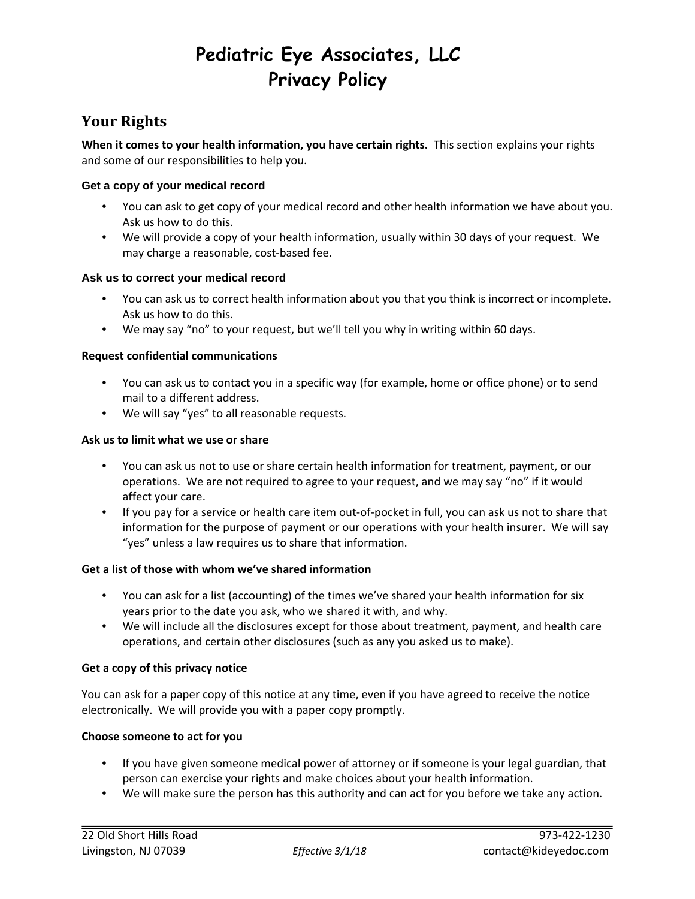## **Your Rights**

**When it comes to your health information, you have certain rights.** This section explains your rights and some of our responsibilities to help you.

#### **Get a copy of your medical record**

- You can ask to get copy of your medical record and other health information we have about you. Ask us how to do this.
- We will provide a copy of your health information, usually within 30 days of your request. We may charge a reasonable, cost‐based fee.

#### **Ask us to correct your medical record**

- You can ask us to correct health information about you that you think is incorrect or incomplete. Ask us how to do this.
- We may say "no" to your request, but we'll tell you why in writing within 60 days.

#### **Request confidential communications**

- You can ask us to contact you in a specific way (for example, home or office phone) or to send mail to a different address.
- We will say "yes" to all reasonable requests.

#### **Ask us to limit what we use or share**

- You can ask us not to use or share certain health information for treatment, payment, or our operations. We are not required to agree to your request, and we may say "no" if it would affect your care.
- If you pay for a service or health care item out-of-pocket in full, you can ask us not to share that information for the purpose of payment or our operations with your health insurer. We will say "yes" unless a law requires us to share that information.

#### **Get a list of those with whom we've shared information**

- You can ask for a list (accounting) of the times we've shared your health information for six years prior to the date you ask, who we shared it with, and why.
- We will include all the disclosures except for those about treatment, payment, and health care operations, and certain other disclosures (such as any you asked us to make).

#### **Get a copy of this privacy notice**

You can ask for a paper copy of this notice at any time, even if you have agreed to receive the notice electronically. We will provide you with a paper copy promptly.

#### **Choose someone to act for you**

- If you have given someone medical power of attorney or if someone is your legal guardian, that person can exercise your rights and make choices about your health information.
- We will make sure the person has this authority and can act for you before we take any action.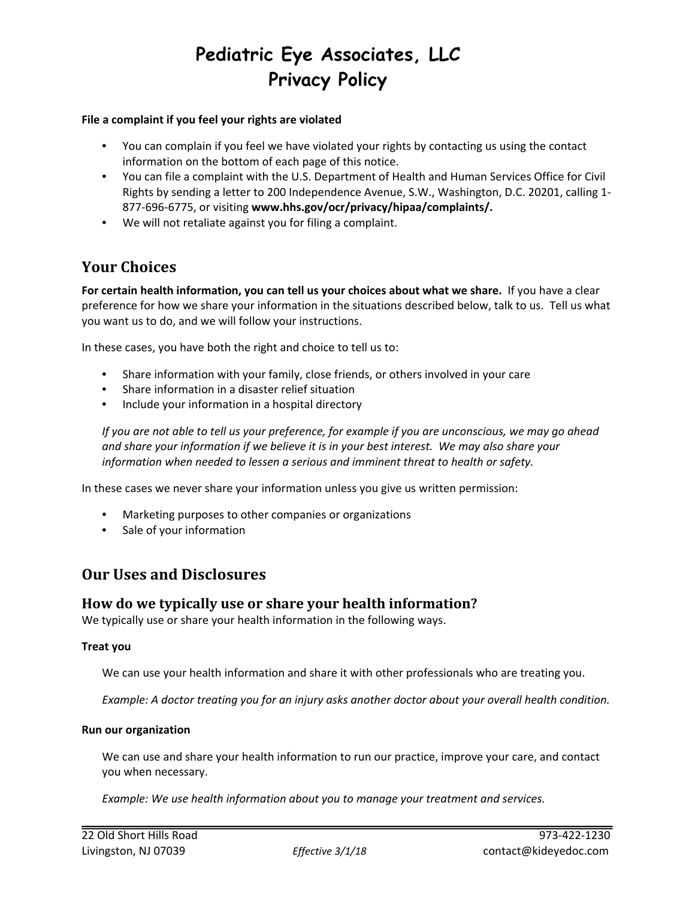#### **File a complaint if you feel your rights are violated**

- You can complain if you feel we have violated your rights by contacting us using the contact information on the bottom of each page of this notice.
- You can file a complaint with the U.S. Department of Health and Human Services Office for Civil Rights by sending a letter to 200 Independence Avenue, S.W., Washington, D.C. 20201, calling 1‐ 877‐696‐6775, or visiting **www.hhs.gov/ocr/privacy/hipaa/complaints/.**
- We will not retaliate against you for filing a complaint.

### **Your Choices**

**For certain health information, you can tell us your choices about what we share.** If you have a clear preference for how we share your information in the situations described below, talk to us. Tell us what you want us to do, and we will follow your instructions.

In these cases, you have both the right and choice to tell us to:

- Share information with your family, close friends, or others involved in your care
- Share information in a disaster relief situation
- Include your information in a hospital directory

If you are not able to tell us your preference, for example if you are unconscious, we may go ahead and share your information if we believe it is in your best interest. We may also share your *information when needed to lessen a serious and imminent threat to health or safety.*

In these cases we never share your information unless you give us written permission:

- Marketing purposes to other companies or organizations
- Sale of your information

### **Our Uses and Disclosures**

#### **How do we typically use or share your health information?**

We typically use or share your health information in the following ways.

#### **Treat you**

We can use your health information and share it with other professionals who are treating you.

*Example: A doctor treating you for an injury asks another doctor about your overall health condition.*

#### **Run our organization**

We can use and share your health information to run our practice, improve your care, and contact you when necessary.

*Example: We use health information about you to manage your treatment and services.*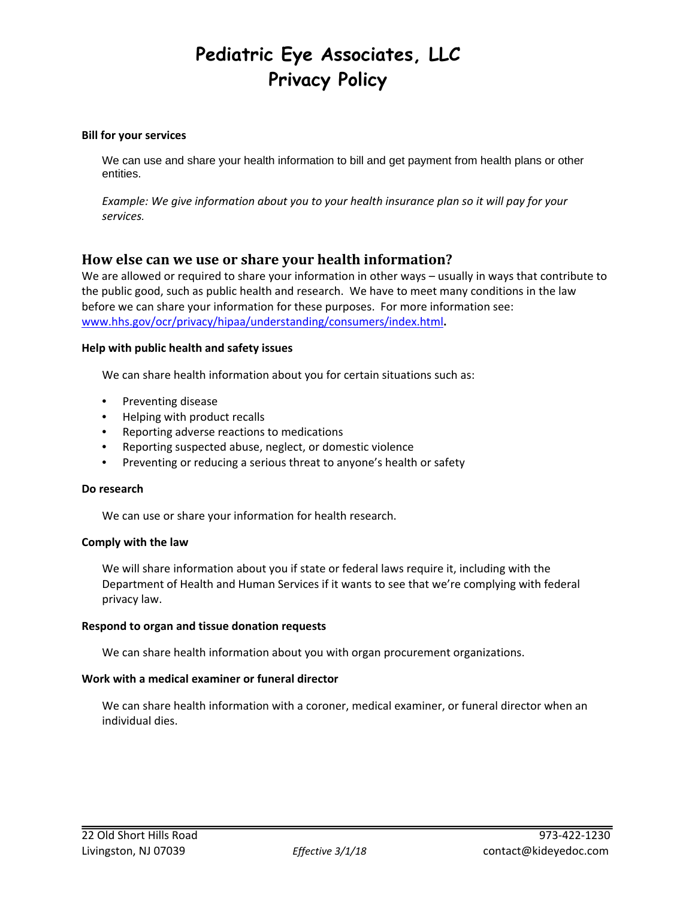#### **Bill for your services**

We can use and share your health information to bill and get payment from health plans or other entities.

*Example: We give information about you to your health insurance plan so it will pay for your services.* 

### **How else can we use or share your health information?**

We are allowed or required to share your information in other ways – usually in ways that contribute to the public good, such as public health and research. We have to meet many conditions in the law before we can share your information for these purposes. For more information see: www.hhs.gov/ocr/privacy/hipaa/understanding/consumers/index.html**.**

#### **Help with public health and safety issues**

We can share health information about you for certain situations such as:

- Preventing disease
- Helping with product recalls
- Reporting adverse reactions to medications
- Reporting suspected abuse, neglect, or domestic violence
- Preventing or reducing a serious threat to anyone's health or safety

#### **Do research**

We can use or share your information for health research.

#### **Comply with the law**

We will share information about you if state or federal laws require it, including with the Department of Health and Human Services if it wants to see that we're complying with federal privacy law.

#### **Respond to organ and tissue donation requests**

We can share health information about you with organ procurement organizations.

#### **Work with a medical examiner or funeral director**

We can share health information with a coroner, medical examiner, or funeral director when an individual dies.